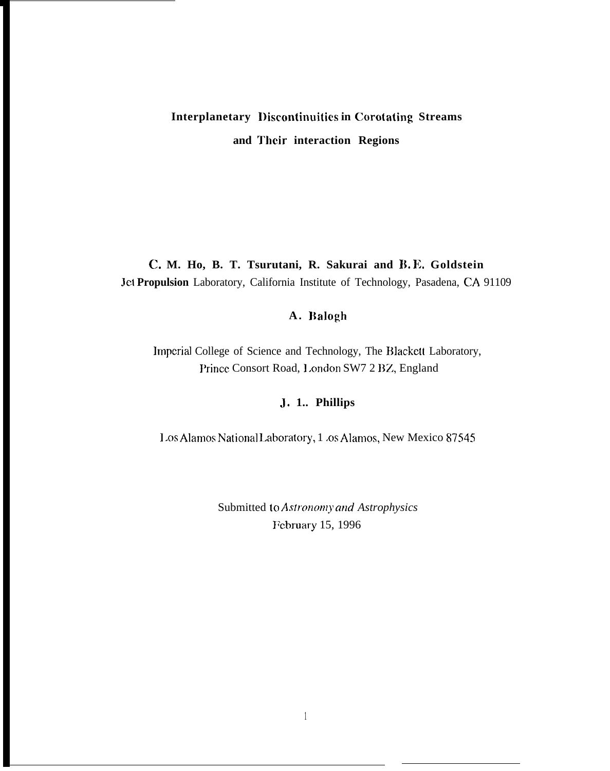# Interplanetary Discontinuities in Corotating Streams and Their interaction Regions

# C. M. Ho, B. T. Tsurutani, R. Sakurai and B.E. Goldstein Jet Propulsion Laboratory, California Institute of Technology, Pasadena, CA 91109

## A. Balogh

Imperial College of Science and Technology, The Blackett Laboratory, Prince Consort Road, London SW7 2 BZ, England

## J. 1.. Phillips

Los Alamos National Laboratory, 1 .os Alamos, New Mexico 87545

Submitted to Astronomy and Astrophysics February 15, 1996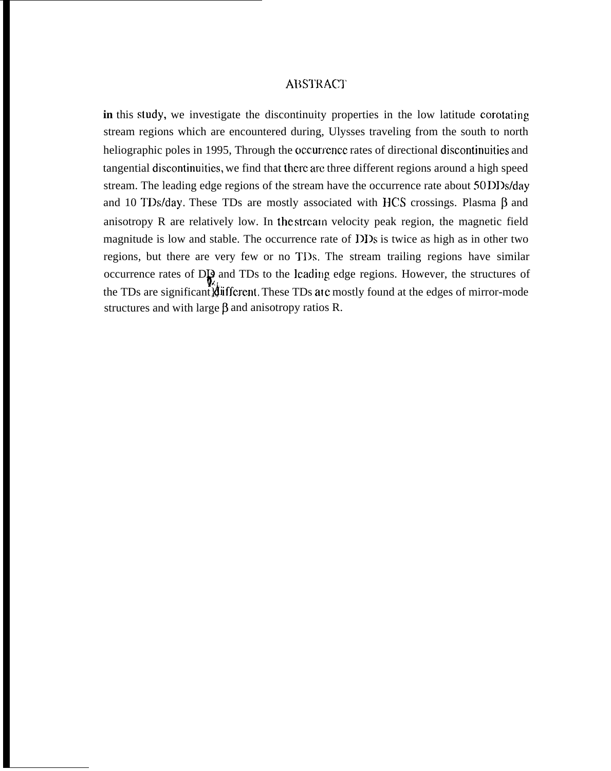#### **ABSTRACT**

in this study, we investigate the discontinuity properties in the low latitude corotating stream regions which are encountered during, Ulysses traveling from the south to north heliographic poles in 1995, Through the occurrence rates of directional discontinuities and tangential discontinuities, we find that there arc three different regions around a high speed stream. The leading edge regions of the stream have the occurrence rate about 50 DI)s/day and 10 TDs/day. These TDs are mostly associated with HCS crossings. Plasma  $\beta$  and anisotropy  $R$  are relatively low. In the stream velocity peak region, the magnetic field magnitude is low and stable. The occurrence rate of DDs is twice as high as in other two regions, but there are very few or no TDs. The stream trailing regions have similar occurrence rates of D<sub>19</sub> and TDs to the lcading edge regions. However, the structures of the TDs are significant) different. These TDs are mostly found at the edges of mirror-mode structures and with large  $\beta$  and anisotropy ratios R.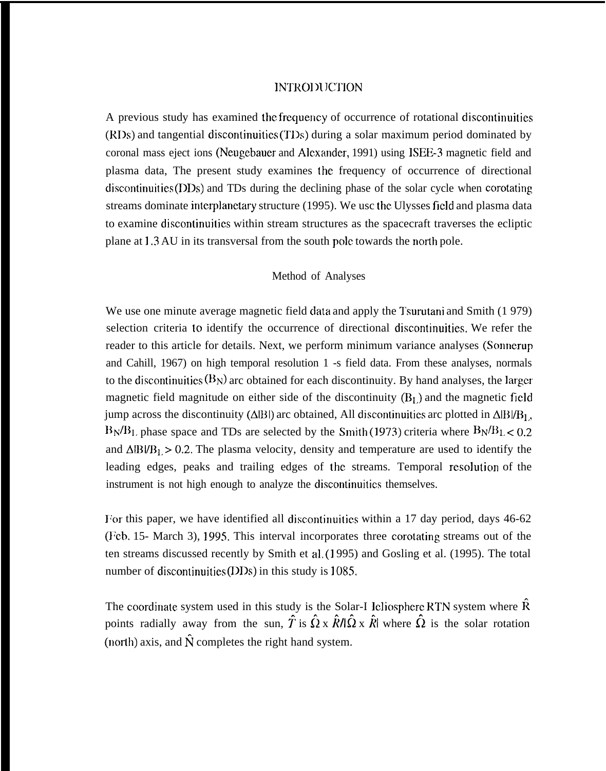### INTRODUCTION

A previous study has examined the frequency of occurrence of rotational discontinuities (RDs) and tangential discontinuities (TDs) during a solar maximum period dominated by coronal mass eject ions (Neugebauer and Alc.xander, 1991) using ISEE-3 magnetic field and plasma data, The present study examines the frequency of occurrence of directional  $discontinuities (DDs)$  and TDs during the declining phase of the solar cycle when corotating streams dominate interplanetary structure (1995). We usc the Ulysses field and plasma data to examine discontinuitics within stream structures as the spacecraft traverses the ecliptic plane at 1.3 AU in its transversal from the south pole towards the north pole.

#### Method of Analyses

We use one minute average magnetic field data and apply the Tsurutani and Smith (1979) selection criteria to identify the occurrence of directional discontinuities. We refer the reader to this article for details. Next, we perform minimum variance analyses (Sonnerup and Cahill, 1967) on high temporal resolution 1 -s field data. From these analyses, normals to the discontinuities  $(B_N)$  arc obtained for each discontinuity. By hand analyses, the larger magnetic field magnitude on either side of the discontinuity  $(B<sub>L</sub>)$  and the magnetic field jump across the discontinuity ( $\triangle$ |B|) arc obtained, All discontinuities arc plotted in  $\triangle$ |B|/B<sub>1</sub>,  $B_N/B_L$ , phase space and TDs are selected by the Smith (1973) criteria where  $B_N/B_L < 0.2$ and  $\Delta$ |B|/B<sub>1</sub> > 0.2. The plasma velocity, density and temperature are used to identify the leading edges, peaks and trailing edges of the streams. Temporal resolution of the instrument is not high enough to analyze the discontinuitics themselves.

For this paper, we have identified all discontinuitics within a 17 day period, days 46-62 (Feb. 15- March 3), 1995. This interval incorporates three corotating streams out of the ten streams discussed recently by Smith et al, (1 995) and Gosling et al. (1995). The total number of discontinuities  $(DDs)$  in this study is 1085.

The coordinate system used in this study is the Solar-I leliosphere RTN system where  $\hat{R}$ points radially away from the sun,  $\hat{T}$  is  $\hat{\Omega} \times \hat{R}/\hat{\Omega} \times \hat{R}$  where  $\hat{\Omega}$  is the solar rotation (north) axis, and  $\hat{N}$  completes the right hand system.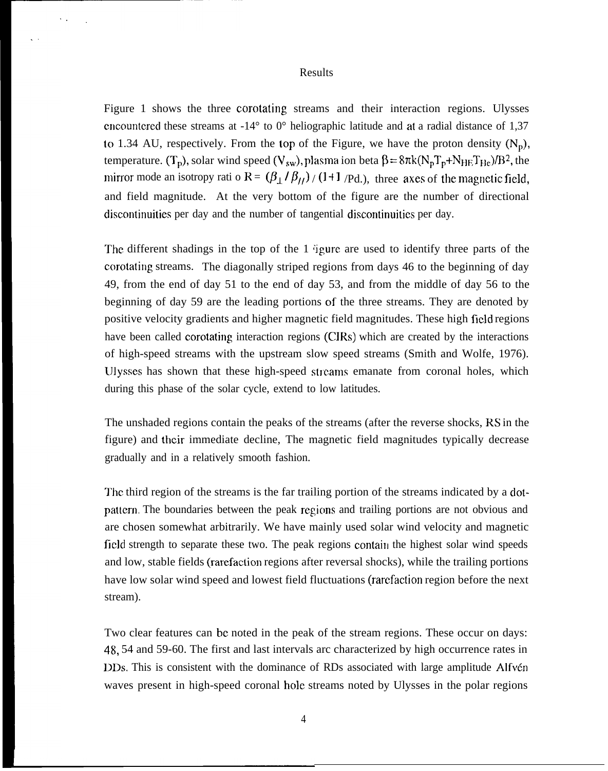#### Results

Figure 1 shows the three corotating streams and their interaction regions. Ulysses encountered these streams at  $-14^{\circ}$  to  $0^{\circ}$  heliographic latitude and at a radial distance of 1,37 to 1.34 AU, respectively. From the top of the Figure, we have the proton density  $(N_p)$ , temperature. (T<sub>p</sub>), solar wind speed (V<sub>sw</sub>), plasma ion beta  $\beta = 8\pi k(N_pT_p+N_{\text{HE}}T_{\text{He}})/B^2$ , the mirror mode an isotropy rati o R =  $(\beta_{\perp}/\beta_{II})/(1+1/\text{Pd}.)$ , three axes of the magnetic field, and field magnitude. At the very bottom of the figure are the number of directional discontinuities per day and the number of tangential discontinuitics per day.

The different shadings in the top of the  $1$  igure are used to identify three parts of the corotating streams. The diagonally striped regions from days 46 to the beginning of day 49, from the end of day 51 to the end of day 53, and from the middle of day 56 to the beginning of day 59 are the leading portions of the three streams. They are denoted by positive velocity gradients and higher magnetic field magnitudes. These high field regions have been called corotating interaction regions (CJRS) which are created by the interactions of high-speed streams with the upstream slow speed streams (Smith and Wolfe, 1976). Ulysses has shown that these high-speed streams emanate from coronal holes, which during this phase of the solar cycle, extend to low latitudes.

The unshaded regions contain the peaks of the streams (after the reverse shocks, RS in the figure) and their immediate decline, The magnetic field magnitudes typically decrease gradually and in a relatively smooth fashion.

The third region of the streams is the far trailing portion of the streams indicated by a dotpattern. The boundaries between the peak regions and trailing portions are not obvious and are chosen somewhat arbitrarily. We have mainly used solar wind velocity and magnetic field strength to separate these two. The peak regions contain the highest solar wind speeds and low, stable fields (rarefaction regions after reversal shocks), while the trailing portions have low solar wind speed and lowest field fluctuations (rarcfaction region before the next stream).

Two clear features can bc noted in the peak of the stream regions. These occur on days: 48, 54 and 59-60. The first and last intervals arc characterized by high occurrence rates in DDs. This is consistent with the dominance of RDs associated with large amplitude Alfvén waves present in high-speed coronal hole streams noted by Ulysses in the polar regions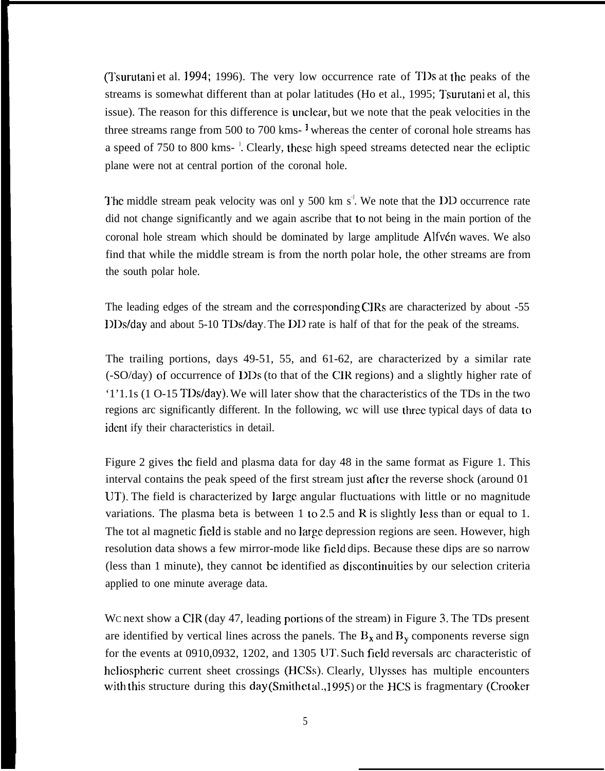(Tsurutani et al. 1994; 1996). The very low occurrence rate of Tl)s at the peaks of the streams is somewhat different than at polar latitudes (Ho et al., 1995; Tsurutani et al, this issue). The reason for this difference is unclear, but we note that the peak velocities in the three streams range from 500 to 700 kms-<sup>1</sup> whereas the center of coronal hole streams has a speed of 750 to 800 kms-<sup>1</sup>. Clearly, these high speed streams detected near the ecliptic plane were not at central portion of the coronal hole.

The middle stream peak velocity was onl y 500 km s<sup> $\pm$ </sup>. We note that the DD occurrence rate did not change significantly and we again ascribe that to not being in the main portion of the coronal hole stream which should be dominated by large amplitude Alfv $\acute{\epsilon}$ n waves. We also find that while the middle stream is from the north polar hole, the other streams are from the south polar hole.

The leading edges of the stream and the corresponding CIRs are characterized by about -55 IIDs/day and about 5-10 TDs/day. The DIJ rate is half of that for the peak of the streams.

The trailing portions, days 49-51, 55, and 61-62, are characterized by a similar rate (-SO/day) of occurrence of DDs (to that of the CIR regions) and a slightly higher rate of '1'1.1s (1 O-15 TDs/day). We will later show that the characteristics of the TDs in the two regions arc significantly different. In the following, wc will use three typical days of data to idcnt ify their characteristics in detail.

Figure 2 gives the field and plasma data for day 48 in the same format as Figure 1. This interval contains the peak speed of the first stream just after the reverse shock (around 01 lJT). The field is characterized by large angular fluctuations with little or no magnitude variations. The plasma beta is between 1 to 2.5 and R is slightly less than or equal to 1. The tot al magnetic field is stable and no large depression regions are seen. However, high resolution data shows a few mirror-mode like field dips. Because these dips are so narrow (less than 1 minute), they cannot be identified as discontinuities by our selection criteria applied to one minute average data.

We next show a CIR (day 47, leading portions of the stream) in Figure 3. The TDs present are identified by vertical lines across the panels. The  $B_x$  and  $B_y$  components reverse sign for the events at 0910,0932, 1202, and 1305 IJT. Such field reversals arc characteristic of heliospheric current sheet crossings (HCSs). Clearly, Ulysses has multiple encounters ~,it}l this structure during this **day (smith ct al., 1995)** or the HCS is fragmentary (Crooker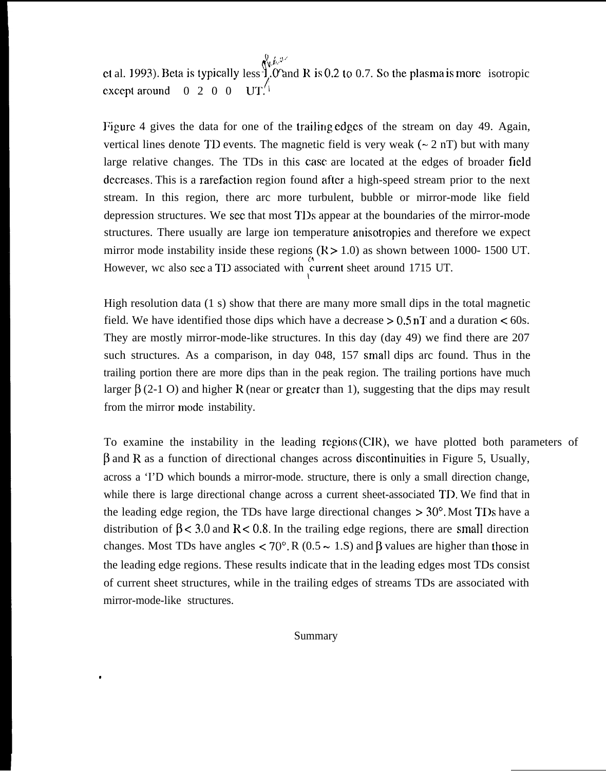$\mathcal{N}(k, \mathcal{V})$ ct al. 1993). Beta is typically less 1. O and R is 0.2 to 0.7. So the plasma is more isotropic except around  $\begin{bmatrix} 0 & 2 & 0 & 0 \\ 0 & 0 & \text{UT} \end{bmatrix}$ 

Figure 4 gives the data for one of the trailing edges of the stream on day 49. Again, vertical lines denote TD events. The magnetic field is very weak  $(\sim 2 \text{ nT})$  but with many large relative changes. The TDs in this case are located at the edges of broader field decrcascs. This is a rarefaction region found after a high-speed stream prior to the next stream. In this region, there arc more turbulent, bubble or mirror-mode like field depression structures. We sec that most TDs appear at the boundaries of the mirror-mode structures. There usually are large ion temperature anisotropies and therefore we expect mirror mode instability inside these regions  $(K > 1.0)$  as shown between 1000- 1500 UT. However, wc also see a TD associated with current sheet around 1715 UT.

High resolution data (1 s) show that there are many more small dips in the total magnetic field. We have identified those dips which have a decrease  $> 0.5 \text{ nT}$  and a duration  $< 60 \text{s}$ . They are mostly mirror-mode-like structures. In this day (day 49) we find there are 207 such structures. As a comparison, in day 048, 157 small dips arc found. Thus in the trailing portion there are more dips than in the peak region. The trailing portions have much larger  $\beta$  (2-1 O) and higher R (near or greater than 1), suggesting that the dips may result from the mirror mode instability.

To examine the instability in the leading regions (CIR), we have plotted both parameters of  $\beta$  and R as a function of directional changes across discontinuities in Figure 5, Usually, across a 'I'D which bounds a mirror-mode. structure, there is only a small direction change, while there is large directional change across a current sheet-associated TD. We find that in the leading edge region, the TDs have large directional changes  $>30^{\circ}$ . Most TDs have a distribution of  $\beta$  < 3.0 and R < 0.8. In the trailing edge regions, there are small direction changes. Most TDs have angles < 70°. R (0.5  $\sim$  1.S) and  $\beta$  values are higher than those in the leading edge regions. These results indicate that in the leading edges most TDs consist of current sheet structures, while in the trailing edges of streams TDs are associated with mirror-mode-like structures.

Summary

.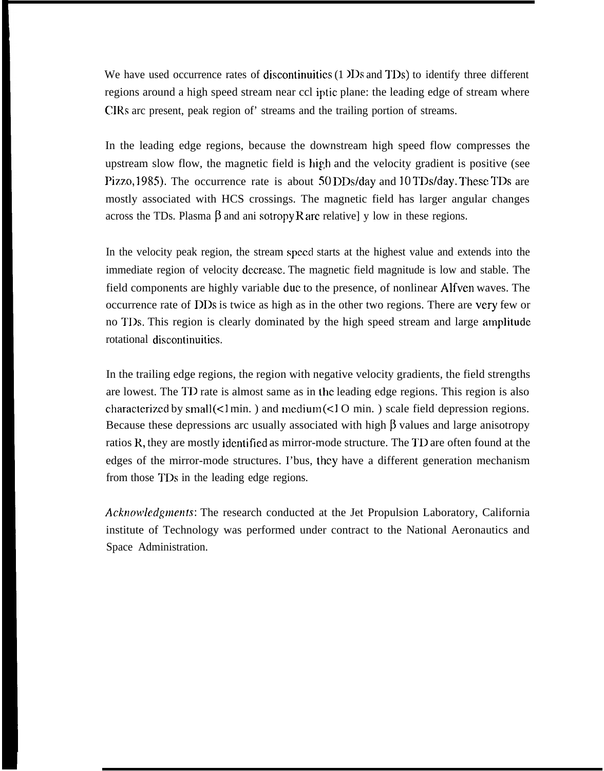We have used occurrence rates of discontinuities (1  $\overline{1}$  Ds and TDs) to identify three different regions around a high speed stream near ccl iptic plane: the leading edge of stream where CIRs arc present, peak region of' streams and the trailing portion of streams.

In the leading edge regions, because the downstream high speed flow compresses the upstream slow flow, the magnetic field is hip,h and the velocity gradient is positive (see Pizzo, 1985). The occurrence rate is about 50 DDs/day and 10 TDs/day. These TDs are mostly associated with HCS crossings. The magnetic field has larger angular changes across the TDs. Plasma  $\beta$  and ani sotropy R are relative] y low in these regions.

In the velocity peak region, the stream speed starts at the highest value and extends into the immediate region of velocity dccreasc. The magnetic field magnitude is low and stable. The field components are highly variable due to the presence, of nonlinear Alfven waves. The occurrence rate of DDs is twice as high as in the other two regions. There are very few or no TDs. This region is clearly dominated by the high speed stream and large amplitude rotational discontinuitics.

In the trailing edge regions, the region with negative velocity gradients, the field strengths are lowest. The TD rate is almost same as in the leading edge regions. This region is also characterized by small (<1 min. ) and medium (<1 O min. ) scale field depression regions. Because these depressions arc usually associated with high  $\beta$  values and large anisotropy ratios R, they are mostly identified as mirror-mode structure. The TD are often found at the edges of the mirror-mode structures. I'bus, they have a different generation mechanism from those TDs in the leading edge regions.

*Acknowledgments:* The research conducted at the Jet Propulsion Laboratory, California institute of Technology was performed under contract to the National Aeronautics and Space Administration.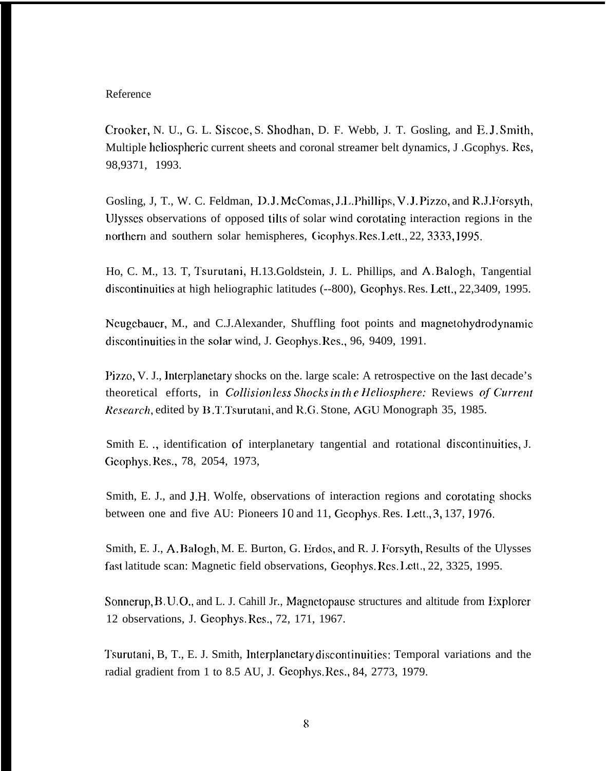#### Reference

Crooker, N. U., G. L. Siscoe, S. Shodhan, D. F. Webb, J. T. Gosling, and E. J. Smith, Multiple heliospheric current sheets and coronal streamer belt dynamics, J. Gcophys. Res, 98,9371, 1993.

Gosling, J, T., W. C. Feldman, D. J. McComas, J.L. Phillips, V. J. Pizzo, and R.J. Forsyth, lJlysses observations of opposed tilts of solar wind corotating interaction regions in the northern and southern solar hemispheres, Geophys. Res. Lett., 22, 3333, 1995.

Ho, C. M., 13. T, Tsurutani, H.13.Goldstein, J. L. Phillips, and A. Balogh, Tangential discontinuities at high heliographic latitudes (--800), Gcophys. Res. Lett., 22,3409, 1995.

Ncugebauer, M., and C.J.Alexander, Shuffling foot points and magnetohydrodynamic discontinuities in the solar wind, J. Geophys. Res., 96, 9409, 1991.

I'iyzo, V. J., lnterp]anetary shocks on the. large scale: A retrospective on the last decade's *theoretical efforts, in Collisionless Shocks in the Heliosphere: Reviews of Current Research*, edited by B.T.Tsurutani, and R.G. Stone, AGU Monograph 35, 1985.

Smith E. ., identification of interplanetary tangential and rotational discontinuities, J. Geophys. Res., 78, 2054, 1973,

Smith, E. J., and J.H. Wolfe, observations of interaction regions and corotating shocks between one and five AU: Pioneers 10 and 11, Geophys. Res. I.ett., 3, 137, 1976.

Smith, E. J., A. Balogh, M. E. Burton, G. Erdos, and R. J. Forsyth, Results of the Ulysses fast latitude scan: Magnetic field observations, Geophys. Res. Lett., 22, 3325, 1995.

Sonnerup, B. U.O., and L. J. Cahill Jr., Magnetopause structures and altitude from Explorer 12 observations, J. Geophys. Rcs., 72, 171, 1967.

Tsurutani, B, T., E. J. Smith, Interplanetary discontinuities: Temporal variations and the radial gradient from 1 to 8.5 AU, J. Geophys. Res., 84, 2773, 1979.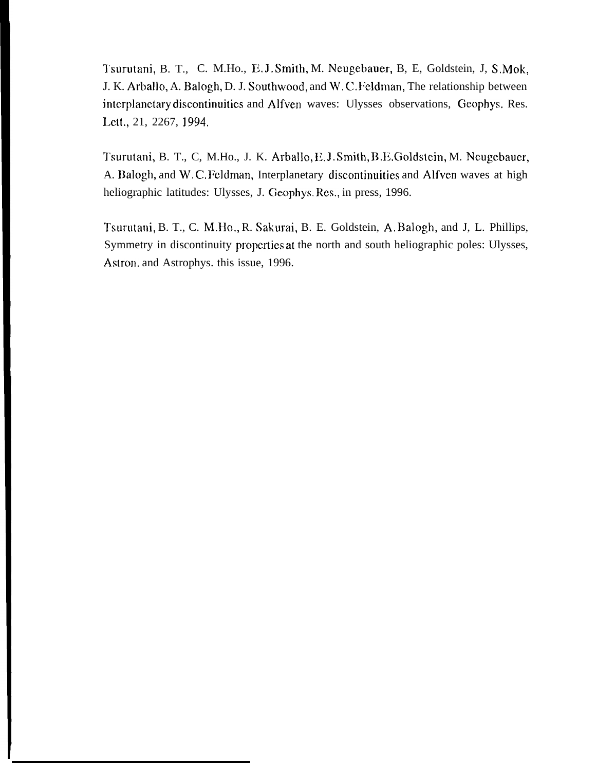Tsurutani, B. T., C. M.Ho., E.J. Smith, M. Neugebauer, B, E, Goldstein, J, S.Mok, J. K. Arballo, A. Balogh, D. J. Southwood, and W. C. Feldman, The relationship between interplanetary discontinuities and Alfven waves: Ulysses observations, Geophys. Res. Lett., 21, 2267, 1994.

Tsurutani, B. T., C, M.Ho., J. K. Arballo, E.J. Smith, B.E. Goldstein, M. Neugebauer, A. Balogh, and W.C. Feldman, Interplanetary discontinuities and Alfven waves at high heliographic latitudes: Ulysses, J. Geophys. Res., in press, 1996.

Tsurutani, B. T., C. M.HO., R. Sakurai, B. E. Goldstein, A. Balogh, and J, L. Phillips, Symmetry in discontinuity properties at the north and south heliographic poles: Ulysses, Astron. and Astrophys. this issue, 1996.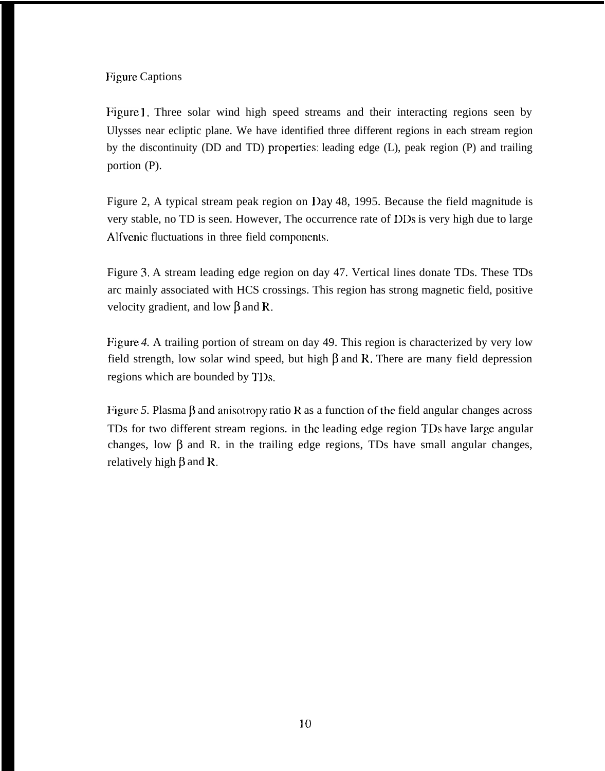Figure Captions

Figure 1, Three solar wind high speed streams and their interacting regions seen by Ulysses near ecliptic plane. We have identified three different regions in each stream region by the discontinuity (DD and TD) properties: leading edge  $(L)$ , peak region  $(P)$  and trailing portion (P).

Figure 2, A typical stream peak region on l)ay 48, 1995. Because the field magnitude is very stable, no TD is seen. However, The occurrence rate of DDs is very high due to large Alfvenic fluctuations in three field components.

Figure 3. A stream leading edge region on day 47. Vertical lines donate TDs. These TDs arc mainly associated with HCS crossings. This region has strong magnetic field, positive velocity gradient, and low  $\beta$  and R.

Figure *4.* A trailing portion of stream on day 49. This region is characterized by very low field strength, low solar wind speed, but high  $\beta$  and R. There are many field depression regions which are bounded by 1'1)s.

Figure 5. Plasma  $\beta$  and anisotropy ratio R as a function of the field angular changes across TDs for two different stream regions. in the leading edge region TDs have large angular changes, low  $\beta$  and R. in the trailing edge regions, TDs have small angular changes, relatively high  $\beta$  and R.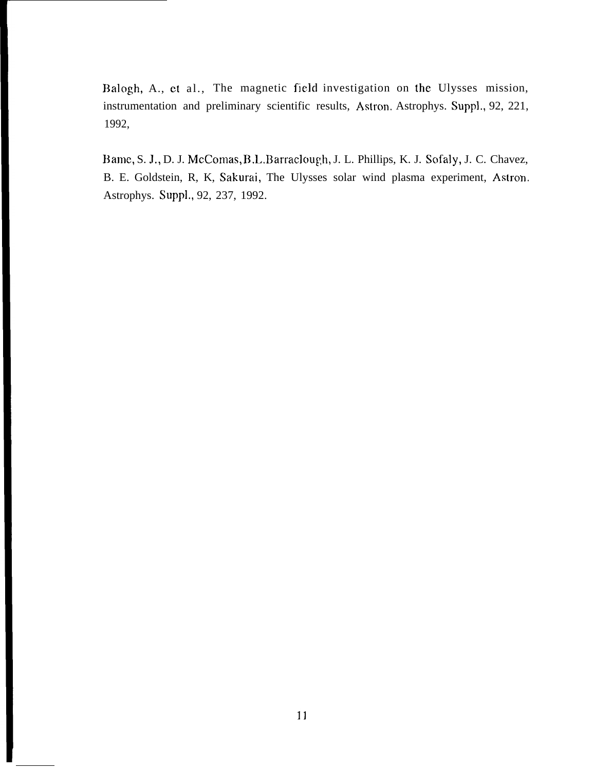13alogh, A., et al., The magnetic field investigation on the Ulysses mission, instrumentation and preliminary scientific results, Astron. Astrophys. Suppl., 92, 221, 1992,

Bame, S. J., D. J. McComas, B.L.Barraclough, J. L. Phillips, K. J. Sofaly, J. C. Chavez, B. E. Goldstein, R, K, Sakurai, The Ulysses solar wind plasma experiment, Astron. Astrophys. Suppl,, 92, 237, 1992.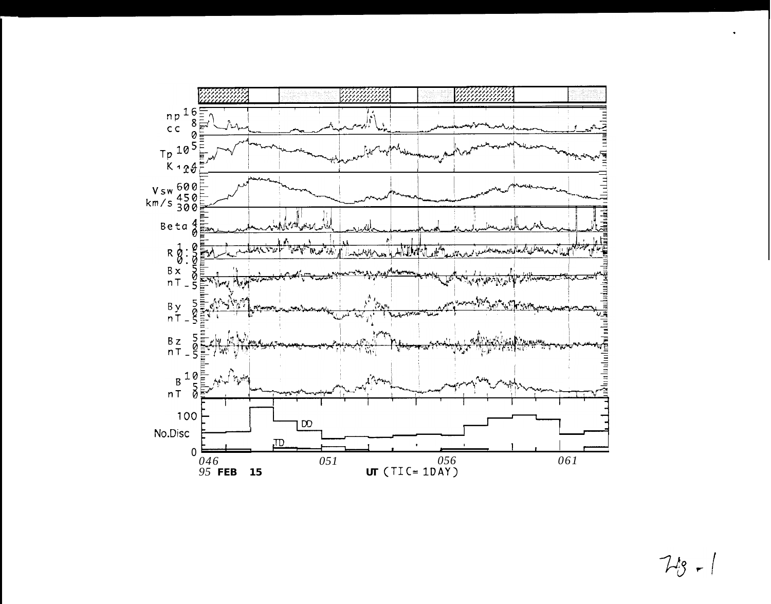

 $7 - 18 - 1$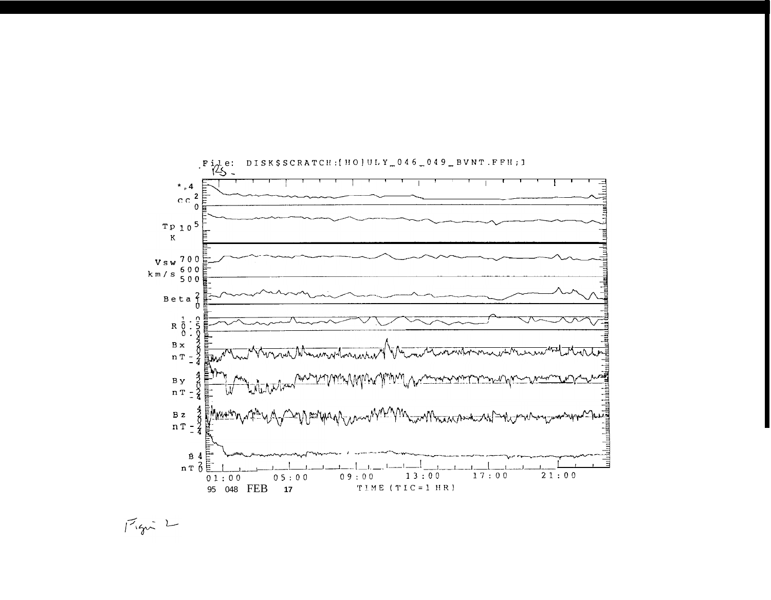

 $17.922$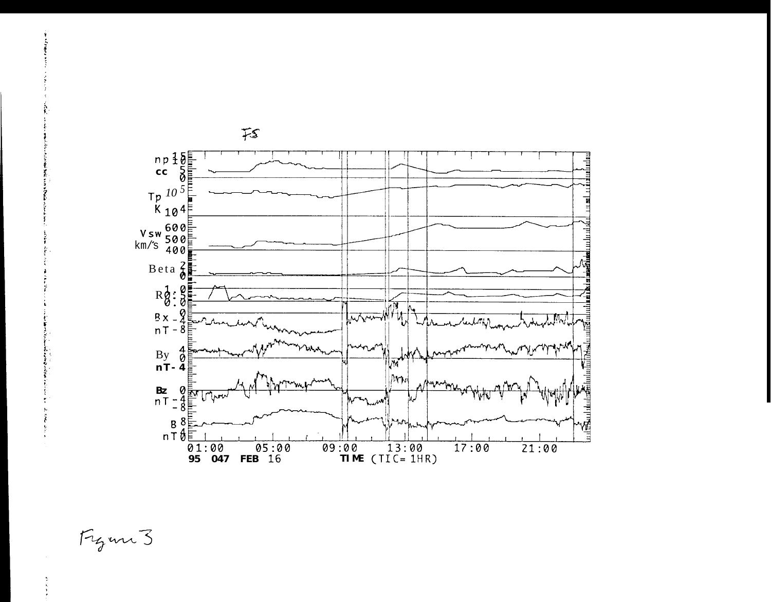

Figure 3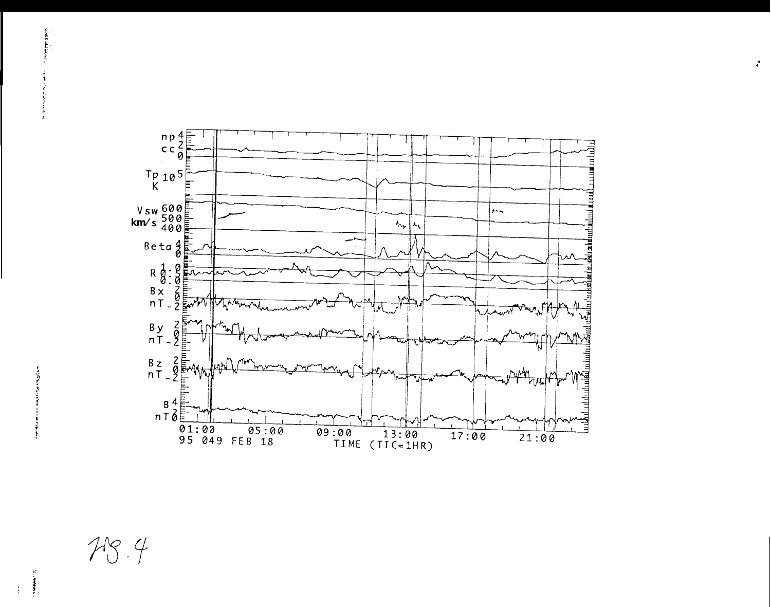

 $\mathcal{L}$ 

 $\frac{1}{2}$